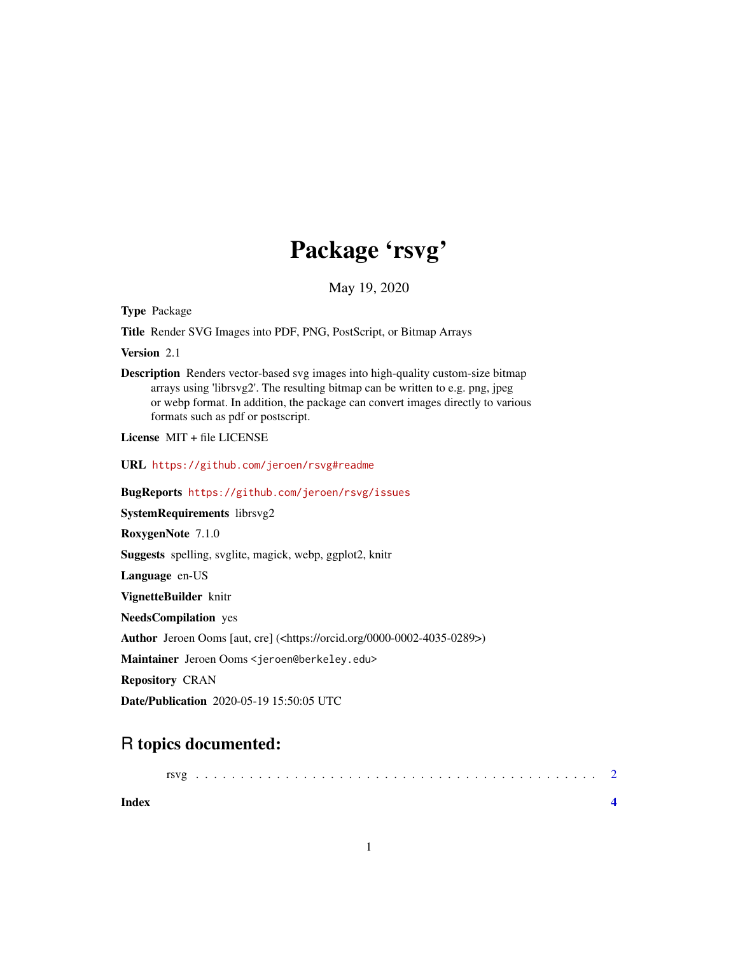## Package 'rsvg'

May 19, 2020

<span id="page-0-0"></span>Type Package

Title Render SVG Images into PDF, PNG, PostScript, or Bitmap Arrays

Version 2.1

Description Renders vector-based svg images into high-quality custom-size bitmap arrays using 'librsvg2'. The resulting bitmap can be written to e.g. png, jpeg or webp format. In addition, the package can convert images directly to various formats such as pdf or postscript.

License MIT + file LICENSE

URL <https://github.com/jeroen/rsvg#readme>

BugReports <https://github.com/jeroen/rsvg/issues>

SystemRequirements librsvg2

RoxygenNote 7.1.0

Suggests spelling, svglite, magick, webp, ggplot2, knitr

Language en-US

VignetteBuilder knitr

NeedsCompilation yes

Author Jeroen Ooms [aut, cre] (<https://orcid.org/0000-0002-4035-0289>)

Maintainer Jeroen Ooms <jeroen@berkeley.edu>

Repository CRAN

Date/Publication 2020-05-19 15:50:05 UTC

### R topics documented:

| Index |  |  |  |  |  |  |  |  |  |  |  |  |  |  |  |  |  |
|-------|--|--|--|--|--|--|--|--|--|--|--|--|--|--|--|--|--|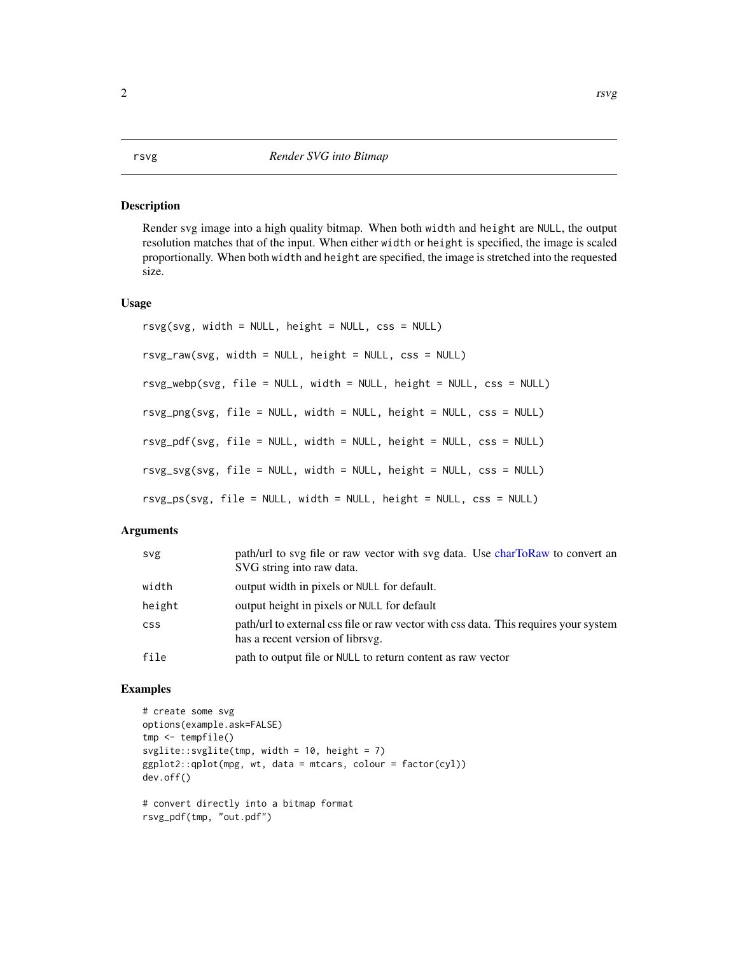#### Description

Render svg image into a high quality bitmap. When both width and height are NULL, the output resolution matches that of the input. When either width or height is specified, the image is scaled proportionally. When both width and height are specified, the image is stretched into the requested size.

#### Usage

```
rsvg(svg, width = NULL, height = NULL, css = NULL)
rsvg_raw(svg, width = NULL, height = NULL, css = NULL)
rsvg_webp(svg, file = NULL, width = NULL, height = NULL, css = NULL)
rsvg_png(svg, file = NULL, width = NULL, height = NULL, css = NULL)
rsvg_pdf(svg, file = NULL, width = NULL, height = NULL, css = NULL)
rsvg_svg(svg, file = NULL, width = NULL, height = NULL, css = NULL)
rsvg_ps(svg, file = NULL, width = NULL, height = NULL, css = NULL)
```
#### Arguments

| svg        | path/url to svg file or raw vector with svg data. Use charToRaw to convert an<br>SVG string into raw data.               |  |  |  |  |  |  |  |
|------------|--------------------------------------------------------------------------------------------------------------------------|--|--|--|--|--|--|--|
| width      | output width in pixels or NULL for default.                                                                              |  |  |  |  |  |  |  |
| height     | output height in pixels or NULL for default                                                                              |  |  |  |  |  |  |  |
| <b>CSS</b> | path/url to external css file or raw vector with css data. This requires your system<br>has a recent version of librsvg. |  |  |  |  |  |  |  |
| file       | path to output file or NULL to return content as raw vector                                                              |  |  |  |  |  |  |  |

#### Examples

```
# create some svg
options(example.ask=FALSE)
tmp <- tempfile()
svglite::svglite(tmp, width = 10, height = 7)
ggplot2::qplot(mpg, wt, data = mtcars, colour = factor(cyl))
dev.off()
# convert directly into a bitmap format
rsvg_pdf(tmp, "out.pdf")
```
#### <span id="page-1-0"></span>2 and 2 rsvg sets that  $\sim$  rsvg sets that  $\sim$  rsvg sets that  $\sim$  rsvg sets that  $\sim$  rsvg sets that  $\sim$  rsvg sets that  $\sim$  rsvg sets that  $\sim$  rsvg sets that  $\sim$  rsvg sets that  $\sim$  rsvg sets that  $\sim$  rsvg sets tha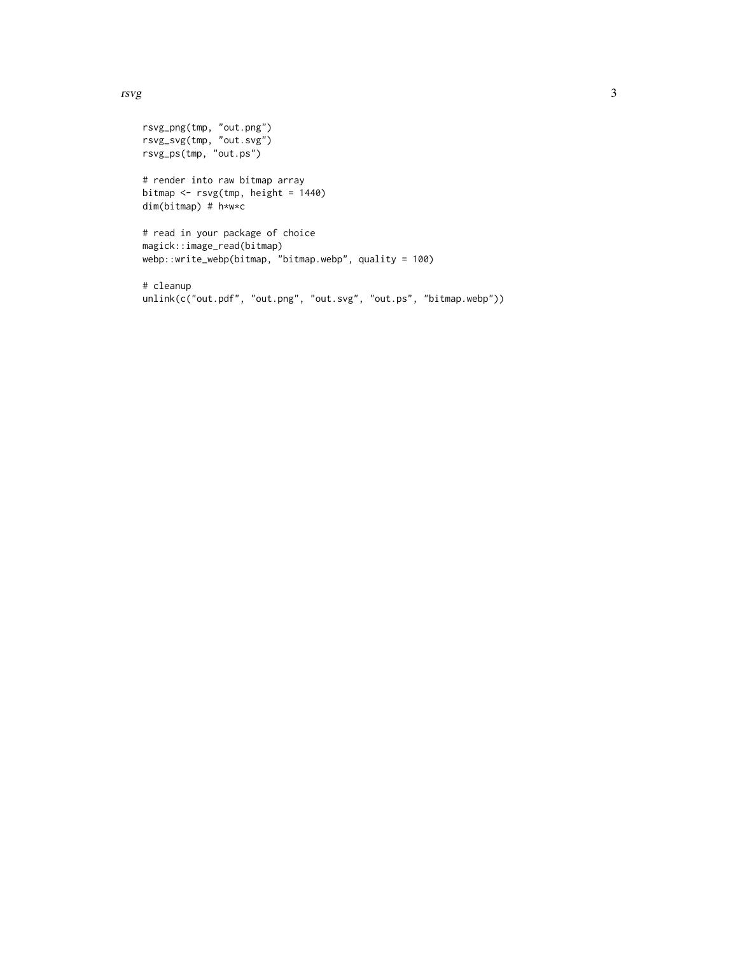#### rsvg 3

```
rsvg_png(tmp, "out.png")
rsvg_svg(tmp, "out.svg")
rsvg_ps(tmp, "out.ps")
# render into raw bitmap array
bitmap <- rsvg(tmp, height = 1440)
dim(bitmap) # h*w*c
# read in your package of choice
magick::image_read(bitmap)
webp::write_webp(bitmap, "bitmap.webp", quality = 100)
# cleanup
```

```
unlink(c("out.pdf", "out.png", "out.svg", "out.ps", "bitmap.webp"))
```